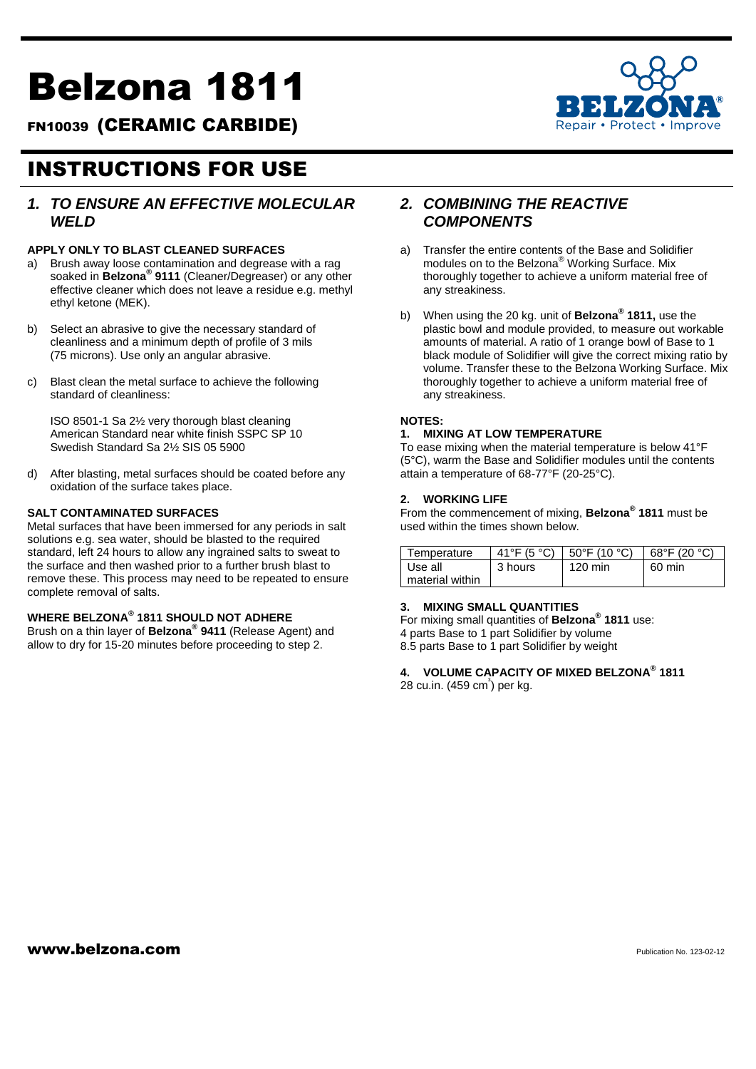# Belzona 1811

FN10039 (CERAMIC CARBIDE)

# INSTRUCTIONS FOR USE

### *1. TO ENSURE AN EFFECTIVE MOLECULAR WELD*

#### **APPLY ONLY TO BLAST CLEANED SURFACES**

- a) Brush away loose contamination and degrease with a rag soaked in **Belzona® 9111** (Cleaner/Degreaser) or any other effective cleaner which does not leave a residue e.g. methyl ethyl ketone (MEK).
- b) Select an abrasive to give the necessary standard of cleanliness and a minimum depth of profile of 3 mils (75 microns). Use only an angular abrasive.
- c) Blast clean the metal surface to achieve the following standard of cleanliness:

ISO 8501-1 Sa 2½ very thorough blast cleaning American Standard near white finish SSPC SP 10 Swedish Standard Sa 2½ SIS 05 5900

d) After blasting, metal surfaces should be coated before any oxidation of the surface takes place.

#### **SALT CONTAMINATED SURFACES**

Metal surfaces that have been immersed for any periods in salt solutions e.g. sea water, should be blasted to the required standard, left 24 hours to allow any ingrained salts to sweat to the surface and then washed prior to a further brush blast to remove these. This process may need to be repeated to ensure complete removal of salts.

#### **WHERE BELZONA® 1811 SHOULD NOT ADHERE**

Brush on a thin layer of **Belzona® 9411** (Release Agent) and allow to dry for 15-20 minutes before proceeding to step 2.

# *2. COMBINING THE REACTIVE COMPONENTS*

- a) Transfer the entire contents of the Base and Solidifier modules on to the Belzona® Working Surface. Mix thoroughly together to achieve a uniform material free of any streakiness.
- b) When using the 20 kg. unit of **Belzona® 1811,** use the plastic bowl and module provided, to measure out workable amounts of material. A ratio of 1 orange bowl of Base to 1 black module of Solidifier will give the correct mixing ratio by volume. Transfer these to the Belzona Working Surface. Mix thoroughly together to achieve a uniform material free of any streakiness.

#### **NOTES:**

#### **1. MIXING AT LOW TEMPERATURE**

To ease mixing when the material temperature is below 41°F (5°C), warm the Base and Solidifier modules until the contents attain a temperature of 68-77°F (20-25°C).

#### **2. WORKING LIFE**

From the commencement of mixing, **Belzona® 1811** must be used within the times shown below.

| Temperature     | 41°F (5 °C) | $50^{\circ}$ F (10 $^{\circ}$ C) | $68^{\circ}$ F (20 $^{\circ}$ C) |
|-----------------|-------------|----------------------------------|----------------------------------|
| Use all         | 3 hours     | 120 min                          | 60 min                           |
| material within |             |                                  |                                  |

#### **3. MIXING SMALL QUANTITIES**

For mixing small quantities of **Belzona® 1811** use: 4 parts Base to 1 part Solidifier by volume 8.5 parts Base to 1 part Solidifier by weight

#### **4. VOLUME CAPACITY OF MIXED BELZONA® 1811**

28 cu.in. (459 cm<sup>3</sup>) per kg.